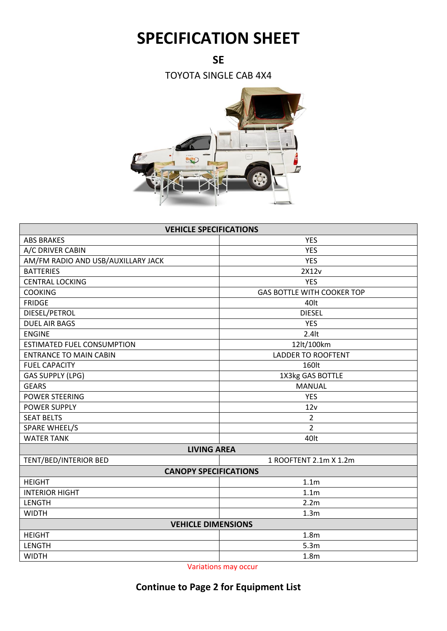## **SPECIFICATION SHEET**

**SE**

TOYOTA SINGLE CAB 4X4



| <b>VEHICLE SPECIFICATIONS</b>      |                                   |  |  |
|------------------------------------|-----------------------------------|--|--|
| <b>ABS BRAKES</b>                  | <b>YES</b>                        |  |  |
| A/C DRIVER CABIN                   | <b>YES</b>                        |  |  |
| AM/FM RADIO AND USB/AUXILLARY JACK | <b>YES</b>                        |  |  |
| <b>BATTERIES</b>                   | 2X12v                             |  |  |
| <b>CENTRAL LOCKING</b>             | <b>YES</b>                        |  |  |
| <b>COOKING</b>                     | <b>GAS BOTTLE WITH COOKER TOP</b> |  |  |
| <b>FRIDGE</b>                      | 40lt                              |  |  |
| DIESEL/PETROL                      | <b>DIESEL</b>                     |  |  |
| <b>DUEL AIR BAGS</b>               | <b>YES</b>                        |  |  |
| <b>ENGINE</b>                      | $2.4$ lt                          |  |  |
| <b>ESTIMATED FUEL CONSUMPTION</b>  | 12lt/100km                        |  |  |
| <b>ENTRANCE TO MAIN CABIN</b>      | <b>LADDER TO ROOFTENT</b>         |  |  |
| <b>FUEL CAPACITY</b>               | 160lt                             |  |  |
| <b>GAS SUPPLY (LPG)</b>            | 1X3kg GAS BOTTLE                  |  |  |
| <b>GEARS</b>                       | <b>MANUAL</b>                     |  |  |
| <b>POWER STEERING</b>              | <b>YES</b>                        |  |  |
| <b>POWER SUPPLY</b>                | 12v                               |  |  |
| <b>SEAT BELTS</b>                  | $\overline{2}$                    |  |  |
| <b>SPARE WHEEL/S</b>               | $\overline{2}$                    |  |  |
| <b>WATER TANK</b>                  | 40lt                              |  |  |
| <b>LIVING AREA</b>                 |                                   |  |  |
| TENT/BED/INTERIOR BED              | 1 ROOFTENT 2.1m X 1.2m            |  |  |
| <b>CANOPY SPECIFICATIONS</b>       |                                   |  |  |
| <b>HEIGHT</b>                      | 1.1 <sub>m</sub>                  |  |  |
| <b>INTERIOR HIGHT</b>              | 1.1 <sub>m</sub>                  |  |  |
| <b>LENGTH</b>                      | 2.2 <sub>m</sub>                  |  |  |
| <b>WIDTH</b>                       | 1.3 <sub>m</sub>                  |  |  |
| <b>VEHICLE DIMENSIONS</b>          |                                   |  |  |
| <b>HEIGHT</b>                      | 1.8 <sub>m</sub>                  |  |  |
| LENGTH                             | 5.3m                              |  |  |
| <b>WIDTH</b>                       | 1.8 <sub>m</sub>                  |  |  |

Variations may occur

## **Continue to Page 2 for Equipment List**